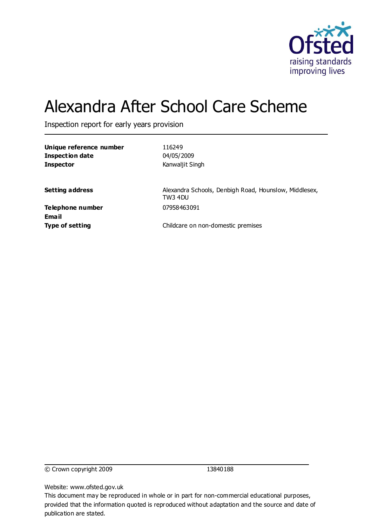

# Alexandra After School Care Scheme

Inspection report for early years provision

| Unique reference number |
|-------------------------|
| Inspection date         |
| <b>Inspector</b>        |

**Unique reference number** 116249 **Inspection date** 04/05/2009 **Inspector** Kanwaljit Singh

**Setting address** Alexandra Schools, Denbigh Road, Hounslow, Middlesex, TW3 4DU

**Telephone number** 07958463091 **Email**

**Type of setting** Childcare on non-domestic premises

© Crown copyright 2009 13840188

Website: www.ofsted.gov.uk

This document may be reproduced in whole or in part for non-commercial educational purposes, provided that the information quoted is reproduced without adaptation and the source and date of publication are stated.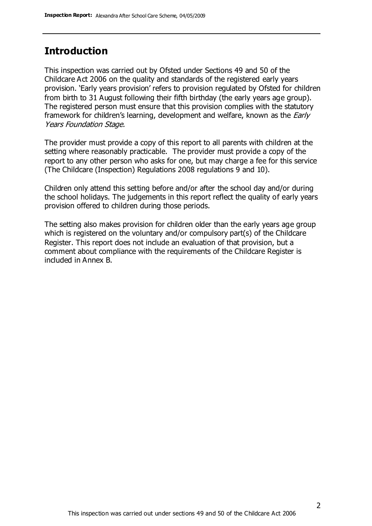#### **Introduction**

This inspection was carried out by Ofsted under Sections 49 and 50 of the Childcare Act 2006 on the quality and standards of the registered early years provision. 'Early years provision' refers to provision regulated by Ofsted for children from birth to 31 August following their fifth birthday (the early years age group). The registered person must ensure that this provision complies with the statutory framework for children's learning, development and welfare, known as the *Early* Years Foundation Stage.

The provider must provide a copy of this report to all parents with children at the setting where reasonably practicable. The provider must provide a copy of the report to any other person who asks for one, but may charge a fee for this service (The Childcare (Inspection) Regulations 2008 regulations 9 and 10).

Children only attend this setting before and/or after the school day and/or during the school holidays. The judgements in this report reflect the quality of early years provision offered to children during those periods.

The setting also makes provision for children older than the early years age group which is registered on the voluntary and/or compulsory part(s) of the Childcare Register. This report does not include an evaluation of that provision, but a comment about compliance with the requirements of the Childcare Register is included in Annex B.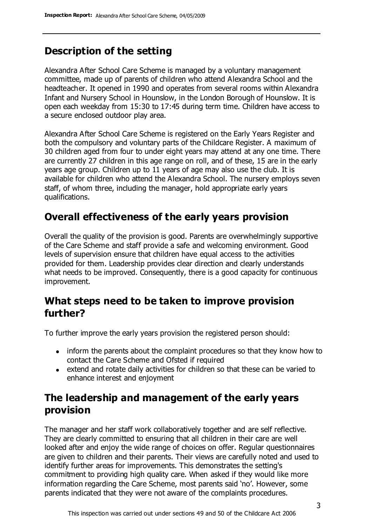## **Description of the setting**

Alexandra After School Care Scheme is managed by a voluntary management committee, made up of parents of children who attend Alexandra School and the headteacher. It opened in 1990 and operates from several rooms within Alexandra Infant and Nursery School in Hounslow, in the London Borough of Hounslow. It is open each weekday from 15:30 to 17:45 during term time. Children have access to a secure enclosed outdoor play area.

Alexandra After School Care Scheme is registered on the Early Years Register and both the compulsory and voluntary parts of the Childcare Register. A maximum of 30 children aged from four to under eight years may attend at any one time. There are currently 27 children in this age range on roll, and of these, 15 are in the early years age group. Children up to 11 years of age may also use the club. It is available for children who attend the Alexandra School. The nursery employs seven staff, of whom three, including the manager, hold appropriate early years qualifications.

# **Overall effectiveness of the early years provision**

Overall the quality of the provision is good. Parents are overwhelmingly supportive of the Care Scheme and staff provide a safe and welcoming environment. Good levels of supervision ensure that children have equal access to the activities provided for them. Leadership provides clear direction and clearly understands what needs to be improved. Consequently, there is a good capacity for continuous improvement.

## **What steps need to be taken to improve provision further?**

To further improve the early years provision the registered person should:

- inform the parents about the complaint procedures so that they know how to contact the Care Scheme and Ofsted if required
- extend and rotate daily activities for children so that these can be varied to enhance interest and enjoyment

# **The leadership and management of the early years provision**

The manager and her staff work collaboratively together and are self reflective. They are clearly committed to ensuring that all children in their care are well looked after and enjoy the wide range of choices on offer. Regular questionnaires are given to children and their parents. Their views are carefully noted and used to identify further areas for improvements. This demonstrates the setting's commitment to providing high quality care. When asked if they would like more information regarding the Care Scheme, most parents said 'no'. However, some parents indicated that they were not aware of the complaints procedures.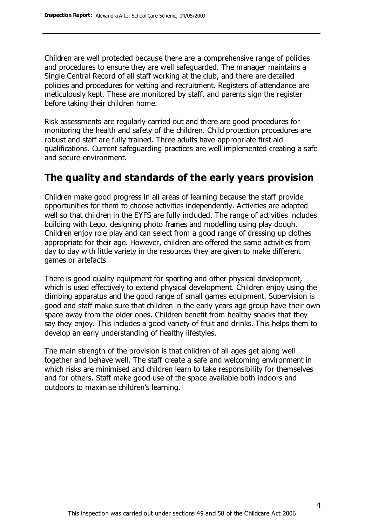Children are well protected because there are a comprehensive range of policies and procedures to ensure they are well safeguarded. The manager maintains a Single Central Record of all staff working at the club, and there are detailed policies and procedures for vetting and recruitment. Registers of attendance are meticulously kept. These are monitored by staff, and parents sign the register before taking their children home.

Risk assessments are regularly carried out and there are good procedures for monitoring the health and safety of the children. Child protection procedures are robust and staff are fully trained. Three adults have appropriate first aid qualifications. Current safeguarding practices are well implemented creating a safe and secure environment.

### **The quality and standards of the early years provision**

Children make good progress in all areas of learning because the staff provide opportunities for them to choose activities independently. Activities are adapted well so that children in the EYFS are fully included. The range of activities includes building with Lego, designing photo frames and modelling using play dough. Children enjoy role play and can select from a good range of dressing up clothes appropriate for their age. However, children are offered the same activities from day to day with little variety in the resources they are given to make different games or artefacts

There is good quality equipment for sporting and other physical development, which is used effectively to extend physical development. Children enjoy using the climbing apparatus and the good range of small games equipment. Supervision is good and staff make sure that children in the early years age group have their own space away from the older ones. Children benefit from healthy snacks that they say they enjoy. This includes a good variety of fruit and drinks. This helps them to develop an early understanding of healthy lifestyles.

The main strength of the provision is that children of all ages get along well together and behave well. The staff create a safe and welcoming environment in which risks are minimised and children learn to take responsibility for themselves and for others. Staff make good use of the space available both indoors and outdoors to maximise children's learning.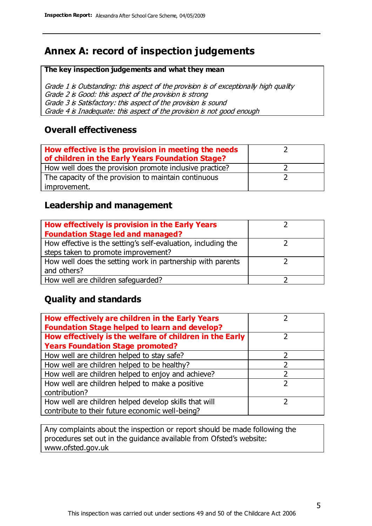# **Annex A: record of inspection judgements**

#### **The key inspection judgements and what they mean**

Grade 1 is Outstanding: this aspect of the provision is of exceptionally high quality Grade 2 is Good: this aspect of the provision is strong Grade 3 is Satisfactory: this aspect of the provision is sound Grade 4 is Inadequate: this aspect of the provision is not good enough

#### **Overall effectiveness**

| How effective is the provision in meeting the needs<br>of children in the Early Years Foundation Stage? |  |
|---------------------------------------------------------------------------------------------------------|--|
| How well does the provision promote inclusive practice?                                                 |  |
| The capacity of the provision to maintain continuous                                                    |  |
| improvement.                                                                                            |  |

#### **Leadership and management**

| How effectively is provision in the Early Years               |  |
|---------------------------------------------------------------|--|
| <b>Foundation Stage led and managed?</b>                      |  |
| How effective is the setting's self-evaluation, including the |  |
| steps taken to promote improvement?                           |  |
| How well does the setting work in partnership with parents    |  |
| and others?                                                   |  |
| How well are children safequarded?                            |  |

#### **Quality and standards**

| How effectively are children in the Early Years<br><b>Foundation Stage helped to learn and develop?</b> |               |
|---------------------------------------------------------------------------------------------------------|---------------|
| How effectively is the welfare of children in the Early                                                 | ר             |
| <b>Years Foundation Stage promoted?</b>                                                                 |               |
| How well are children helped to stay safe?                                                              |               |
| How well are children helped to be healthy?                                                             |               |
| How well are children helped to enjoy and achieve?                                                      | 2             |
| How well are children helped to make a positive                                                         | $\mathcal{P}$ |
| contribution?                                                                                           |               |
| How well are children helped develop skills that will                                                   |               |
| contribute to their future economic well-being?                                                         |               |

Any complaints about the inspection or report should be made following the procedures set out in the guidance available from Ofsted's website: www.ofsted.gov.uk